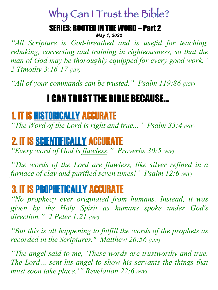# Why Can I Trust the Bible?

#### SERIES: ROOTED IN THE WORD – Part 2

*May 1, 2022*

*"All Scripture is God-breathed and is useful for teaching, rebuking, correcting and training in righteousness, so that the man of God may be thoroughly equipped for every good work." 2 Timothy 3:16-17 (NIV)*

*"All of your commands can be trusted." Psalm 119:86 (NCV)*

## I CAN TRUST THE BIBLE BECAUSE…

## 1. IT IS HISTORICALLY ACCURATE

*"The Word of the Lord is right and true..." Psalm 33:4 (NIV)* 

## 2. IT IS SCIENTIFICALLY ACCURATE

*"Every word of God is flawless." Proverbs 30:5 (NIV)* 

*"The words of the Lord are flawless, like silver refined in a furnace of clay and purified seven times!" Psalm 12:6 (NIV)* 

## 3. IT IS PROPHETICALLY ACCURATE

*"No prophecy ever originated from humans. Instead, it was given by the Holy Spirit as humans spoke under God's direction." 2 Peter 1:21 (GW)* 

*"But this is all happening to fulfill the words of the prophets as recorded in the Scriptures." Matthew 26:56 (NLT)* 

*"The angel said to me, 'These words are trustworthy and true. The Lord… sent his angel to show his servants the things that must soon take place.'" Revelation 22:6 (NIV)*